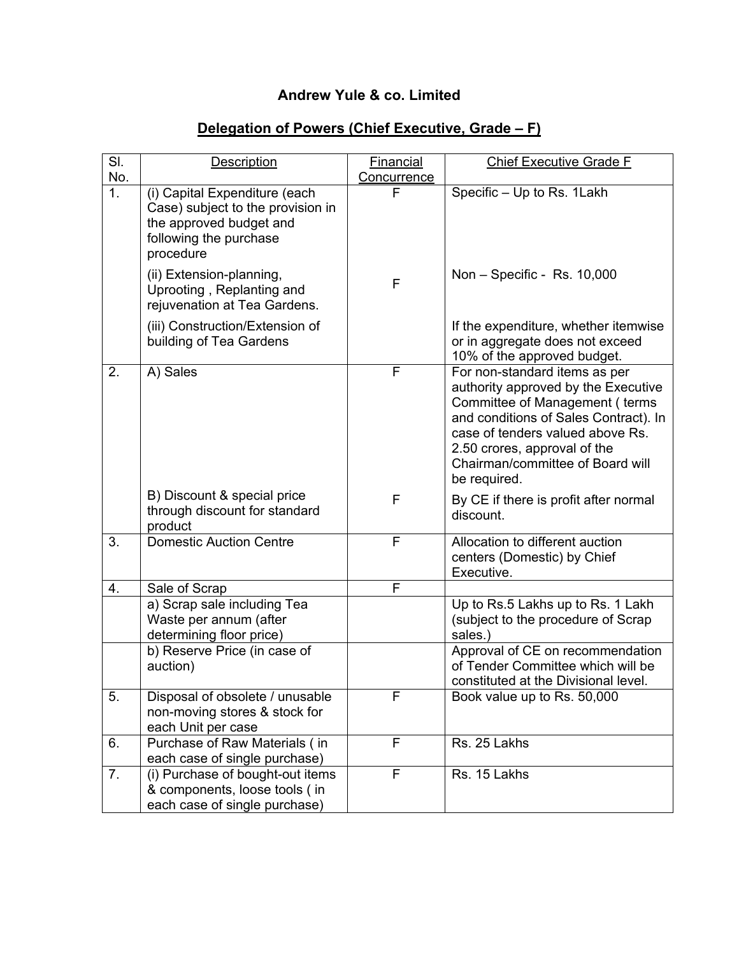## **Andrew Yule & co. Limited**

| SI.              | <b>Description</b>                                                                                                                   | <b>Financial</b> | <b>Chief Executive Grade F</b>                                                                                                                                                                                                                                          |
|------------------|--------------------------------------------------------------------------------------------------------------------------------------|------------------|-------------------------------------------------------------------------------------------------------------------------------------------------------------------------------------------------------------------------------------------------------------------------|
| No.              |                                                                                                                                      | Concurrence      |                                                                                                                                                                                                                                                                         |
| $\overline{1}$ . | (i) Capital Expenditure (each<br>Case) subject to the provision in<br>the approved budget and<br>following the purchase<br>procedure | F                | Specific - Up to Rs. 1Lakh                                                                                                                                                                                                                                              |
|                  | (ii) Extension-planning,<br>Uprooting, Replanting and<br>rejuvenation at Tea Gardens.                                                | $\mathsf{F}$     | Non - Specific - Rs. 10,000                                                                                                                                                                                                                                             |
|                  | (iii) Construction/Extension of<br>building of Tea Gardens                                                                           |                  | If the expenditure, whether itemwise<br>or in aggregate does not exceed<br>10% of the approved budget.                                                                                                                                                                  |
| 2.               | A) Sales                                                                                                                             | F                | For non-standard items as per<br>authority approved by the Executive<br>Committee of Management (terms<br>and conditions of Sales Contract). In<br>case of tenders valued above Rs.<br>2.50 crores, approval of the<br>Chairman/committee of Board will<br>be required. |
|                  | B) Discount & special price<br>through discount for standard<br>product                                                              | F                | By CE if there is profit after normal<br>discount.                                                                                                                                                                                                                      |
| 3.               | <b>Domestic Auction Centre</b>                                                                                                       | F                | Allocation to different auction<br>centers (Domestic) by Chief<br>Executive.                                                                                                                                                                                            |
| 4.               | Sale of Scrap                                                                                                                        | F                |                                                                                                                                                                                                                                                                         |
|                  | a) Scrap sale including Tea<br>Waste per annum (after<br>determining floor price)                                                    |                  | Up to Rs.5 Lakhs up to Rs. 1 Lakh<br>(subject to the procedure of Scrap<br>sales.)                                                                                                                                                                                      |
|                  | b) Reserve Price (in case of<br>auction)                                                                                             |                  | Approval of CE on recommendation<br>of Tender Committee which will be<br>constituted at the Divisional level.                                                                                                                                                           |
| 5.               | Disposal of obsolete / unusable<br>non-moving stores & stock for<br>each Unit per case                                               | F                | Book value up to Rs. 50,000                                                                                                                                                                                                                                             |
| 6.               | Purchase of Raw Materials (in<br>each case of single purchase)                                                                       | F                | Rs. 25 Lakhs                                                                                                                                                                                                                                                            |
| 7.               | (i) Purchase of bought-out items<br>& components, loose tools (in<br>each case of single purchase)                                   | F                | Rs. 15 Lakhs                                                                                                                                                                                                                                                            |

# **Delegation of Powers (Chief Executive, Grade – F)**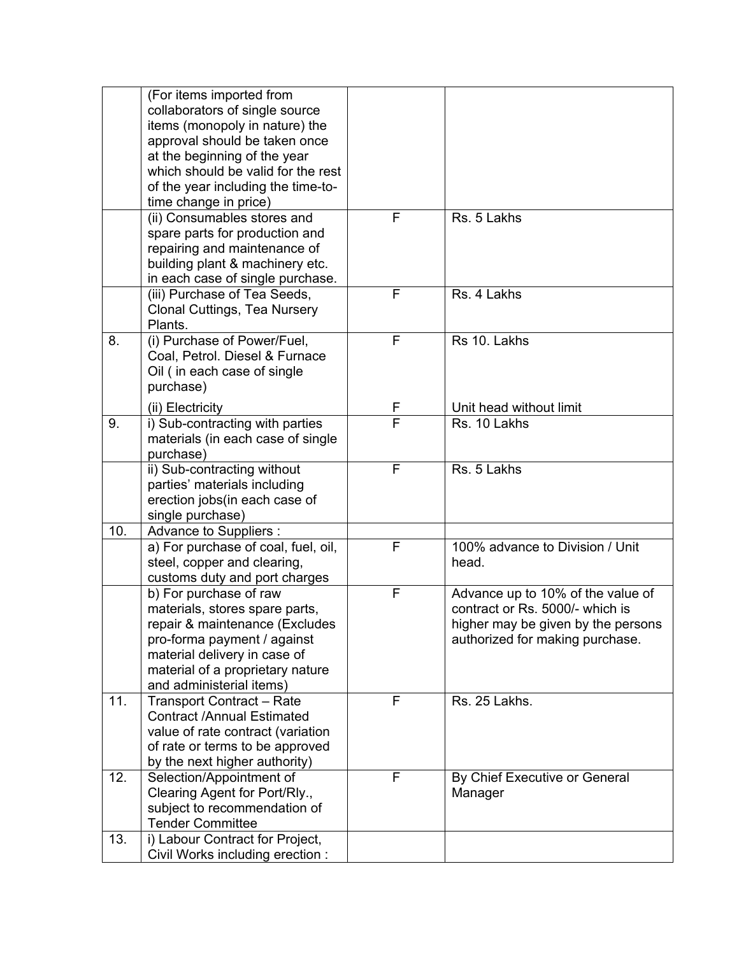|     | (For items imported from<br>collaborators of single source<br>items (monopoly in nature) the<br>approval should be taken once<br>at the beginning of the year<br>which should be valid for the rest<br>of the year including the time-to-<br>time change in price) |                         |                                                                                                                                               |
|-----|--------------------------------------------------------------------------------------------------------------------------------------------------------------------------------------------------------------------------------------------------------------------|-------------------------|-----------------------------------------------------------------------------------------------------------------------------------------------|
|     | (ii) Consumables stores and<br>spare parts for production and<br>repairing and maintenance of<br>building plant & machinery etc.<br>in each case of single purchase.                                                                                               | F                       | Rs. 5 Lakhs                                                                                                                                   |
|     | (iii) Purchase of Tea Seeds,<br>Clonal Cuttings, Tea Nursery<br>Plants.                                                                                                                                                                                            | F                       | Rs. 4 Lakhs                                                                                                                                   |
| 8.  | (i) Purchase of Power/Fuel,<br>Coal, Petrol. Diesel & Furnace<br>Oil (in each case of single<br>purchase)                                                                                                                                                          | F                       | Rs 10. Lakhs                                                                                                                                  |
|     | (ii) Electricity                                                                                                                                                                                                                                                   | F                       | Unit head without limit                                                                                                                       |
| 9.  | i) Sub-contracting with parties<br>materials (in each case of single<br>purchase)                                                                                                                                                                                  | $\overline{\mathsf{F}}$ | Rs. 10 Lakhs                                                                                                                                  |
|     | ii) Sub-contracting without<br>parties' materials including<br>erection jobs(in each case of<br>single purchase)                                                                                                                                                   | F                       | Rs. 5 Lakhs                                                                                                                                   |
| 10. | Advance to Suppliers :                                                                                                                                                                                                                                             |                         |                                                                                                                                               |
|     | a) For purchase of coal, fuel, oil,<br>steel, copper and clearing,<br>customs duty and port charges                                                                                                                                                                | F                       | 100% advance to Division / Unit<br>head.                                                                                                      |
|     | b) For purchase of raw<br>materials, stores spare parts,<br>repair & maintenance (Excludes<br>pro-forma payment / against<br>material delivery in case of<br>material of a proprietary nature<br>and administerial items)                                          | F                       | Advance up to 10% of the value of<br>contract or Rs. 5000/- which is<br>higher may be given by the persons<br>authorized for making purchase. |
| 11. | <b>Transport Contract - Rate</b><br><b>Contract /Annual Estimated</b><br>value of rate contract (variation<br>of rate or terms to be approved<br>by the next higher authority)                                                                                     | F                       | Rs. 25 Lakhs.                                                                                                                                 |
| 12. | Selection/Appointment of<br>Clearing Agent for Port/Rly.,<br>subject to recommendation of<br><b>Tender Committee</b>                                                                                                                                               | F                       | By Chief Executive or General<br>Manager                                                                                                      |
| 13. | i) Labour Contract for Project,<br>Civil Works including erection:                                                                                                                                                                                                 |                         |                                                                                                                                               |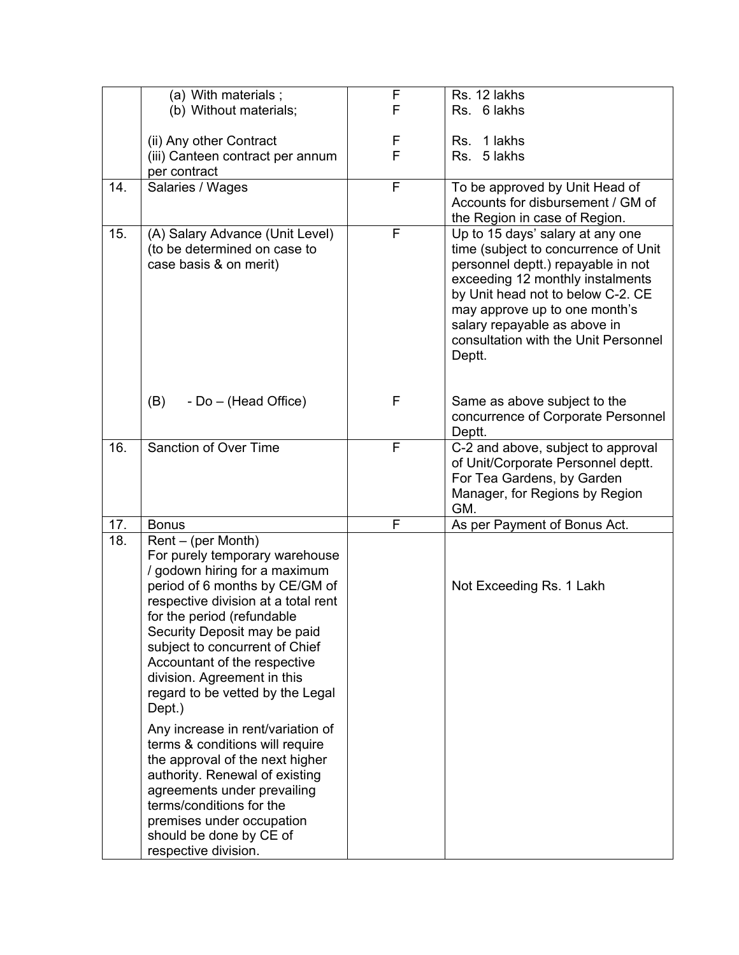|     | (a) With materials;                                  | F            | Rs. 12 lakhs                         |
|-----|------------------------------------------------------|--------------|--------------------------------------|
|     | (b) Without materials;                               | F            | Rs. 6 lakhs                          |
|     |                                                      |              |                                      |
|     | (ii) Any other Contract                              | F            | 1 lakhs<br>Rs.                       |
|     | (iii) Canteen contract per annum                     | F            | 5 lakhs<br>Rs.                       |
|     | per contract                                         |              |                                      |
| 14. | Salaries / Wages                                     | F            | To be approved by Unit Head of       |
|     |                                                      |              | Accounts for disbursement / GM of    |
|     |                                                      |              | the Region in case of Region.        |
| 15. | (A) Salary Advance (Unit Level)                      | $\mathsf F$  | Up to 15 days' salary at any one     |
|     | (to be determined on case to                         |              | time (subject to concurrence of Unit |
|     | case basis & on merit)                               |              | personnel deptt.) repayable in not   |
|     |                                                      |              | exceeding 12 monthly instalments     |
|     |                                                      |              | by Unit head not to below C-2. CE    |
|     |                                                      |              | may approve up to one month's        |
|     |                                                      |              | salary repayable as above in         |
|     |                                                      |              | consultation with the Unit Personnel |
|     |                                                      |              | Deptt.                               |
|     |                                                      |              |                                      |
|     |                                                      |              |                                      |
|     | (B)<br>- Do – (Head Office)                          | F            | Same as above subject to the         |
|     |                                                      |              | concurrence of Corporate Personnel   |
|     |                                                      |              | Deptt.                               |
| 16. | Sanction of Over Time                                | $\mathsf{F}$ | C-2 and above, subject to approval   |
|     |                                                      |              | of Unit/Corporate Personnel deptt.   |
|     |                                                      |              | For Tea Gardens, by Garden           |
|     |                                                      |              | Manager, for Regions by Region       |
|     |                                                      |              | GM.                                  |
| 17. | <b>Bonus</b>                                         | F            | As per Payment of Bonus Act.         |
| 18. | Rent – (per Month)                                   |              |                                      |
|     | For purely temporary warehouse                       |              |                                      |
|     | / godown hiring for a maximum                        |              |                                      |
|     | period of 6 months by CE/GM of                       |              | Not Exceeding Rs. 1 Lakh             |
|     | respective division at a total rent                  |              |                                      |
|     | for the period (refundable                           |              |                                      |
|     | Security Deposit may be paid                         |              |                                      |
|     | subject to concurrent of Chief                       |              |                                      |
|     | Accountant of the respective                         |              |                                      |
|     | division. Agreement in this                          |              |                                      |
|     | regard to be vetted by the Legal                     |              |                                      |
|     | Dept.)                                               |              |                                      |
|     | Any increase in rent/variation of                    |              |                                      |
|     | terms & conditions will require                      |              |                                      |
|     |                                                      |              |                                      |
|     |                                                      |              |                                      |
|     | the approval of the next higher                      |              |                                      |
|     | authority. Renewal of existing                       |              |                                      |
|     | agreements under prevailing                          |              |                                      |
|     | terms/conditions for the                             |              |                                      |
|     | premises under occupation<br>should be done by CE of |              |                                      |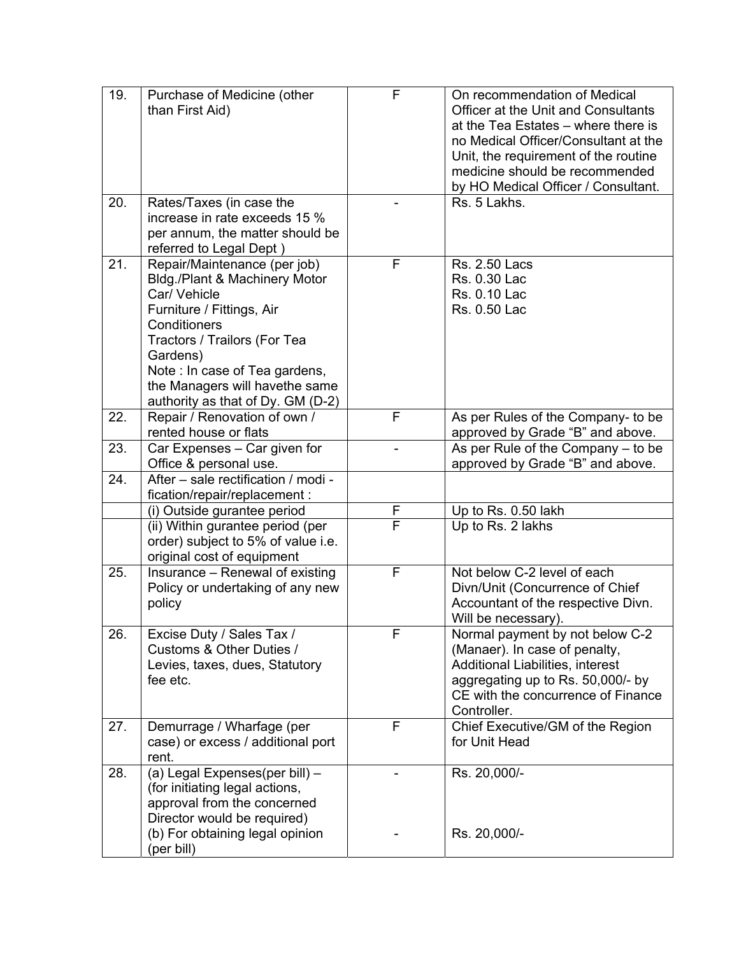| 19. | Purchase of Medicine (other<br>than First Aid)                                                                                                                                                                                                                                  | F            | On recommendation of Medical<br>Officer at the Unit and Consultants<br>at the Tea Estates - where there is<br>no Medical Officer/Consultant at the<br>Unit, the requirement of the routine<br>medicine should be recommended |
|-----|---------------------------------------------------------------------------------------------------------------------------------------------------------------------------------------------------------------------------------------------------------------------------------|--------------|------------------------------------------------------------------------------------------------------------------------------------------------------------------------------------------------------------------------------|
|     |                                                                                                                                                                                                                                                                                 |              | by HO Medical Officer / Consultant.                                                                                                                                                                                          |
| 20. | Rates/Taxes (in case the<br>increase in rate exceeds 15 %<br>per annum, the matter should be<br>referred to Legal Dept)                                                                                                                                                         |              | Rs. 5 Lakhs.                                                                                                                                                                                                                 |
| 21. | Repair/Maintenance (per job)<br>Bldg./Plant & Machinery Motor<br>Car/ Vehicle<br>Furniture / Fittings, Air<br>Conditioners<br>Tractors / Trailors (For Tea<br>Gardens)<br>Note : In case of Tea gardens,<br>the Managers will havethe same<br>authority as that of Dy. GM (D-2) | $\mathsf{F}$ | <b>Rs. 2.50 Lacs</b><br>Rs. 0.30 Lac<br>Rs. 0.10 Lac<br>Rs. 0.50 Lac                                                                                                                                                         |
| 22. | Repair / Renovation of own /<br>rented house or flats                                                                                                                                                                                                                           | F            | As per Rules of the Company- to be<br>approved by Grade "B" and above.                                                                                                                                                       |
| 23. | Car Expenses - Car given for<br>Office & personal use.                                                                                                                                                                                                                          |              | As per Rule of the Company $-$ to be<br>approved by Grade "B" and above.                                                                                                                                                     |
| 24. | After - sale rectification / modi -<br>fication/repair/replacement :                                                                                                                                                                                                            |              |                                                                                                                                                                                                                              |
|     | (i) Outside gurantee period                                                                                                                                                                                                                                                     | F            | Up to Rs. 0.50 lakh                                                                                                                                                                                                          |
|     | (ii) Within gurantee period (per<br>order) subject to 5% of value i.e.<br>original cost of equipment                                                                                                                                                                            | F            | Up to Rs. 2 lakhs                                                                                                                                                                                                            |
| 25. | Insurance - Renewal of existing<br>Policy or undertaking of any new<br>policy                                                                                                                                                                                                   | F            | Not below C-2 level of each<br>Divn/Unit (Concurrence of Chief<br>Accountant of the respective Divn.<br>Will be necessary).                                                                                                  |
| 26. | Excise Duty / Sales Tax /<br>Customs & Other Duties /<br>Levies, taxes, dues, Statutory<br>fee etc.                                                                                                                                                                             | F            | Normal payment by not below C-2<br>(Manaer). In case of penalty,<br>Additional Liabilities, interest<br>aggregating up to Rs. 50,000/- by<br>CE with the concurrence of Finance<br>Controller.                               |
| 27. | Demurrage / Wharfage (per<br>case) or excess / additional port<br>rent.                                                                                                                                                                                                         | F            | Chief Executive/GM of the Region<br>for Unit Head                                                                                                                                                                            |
| 28. | (a) Legal Expenses(per bill) -<br>(for initiating legal actions,<br>approval from the concerned<br>Director would be required)<br>(b) For obtaining legal opinion<br>(per bill)                                                                                                 |              | Rs. 20,000/-<br>Rs. 20,000/-                                                                                                                                                                                                 |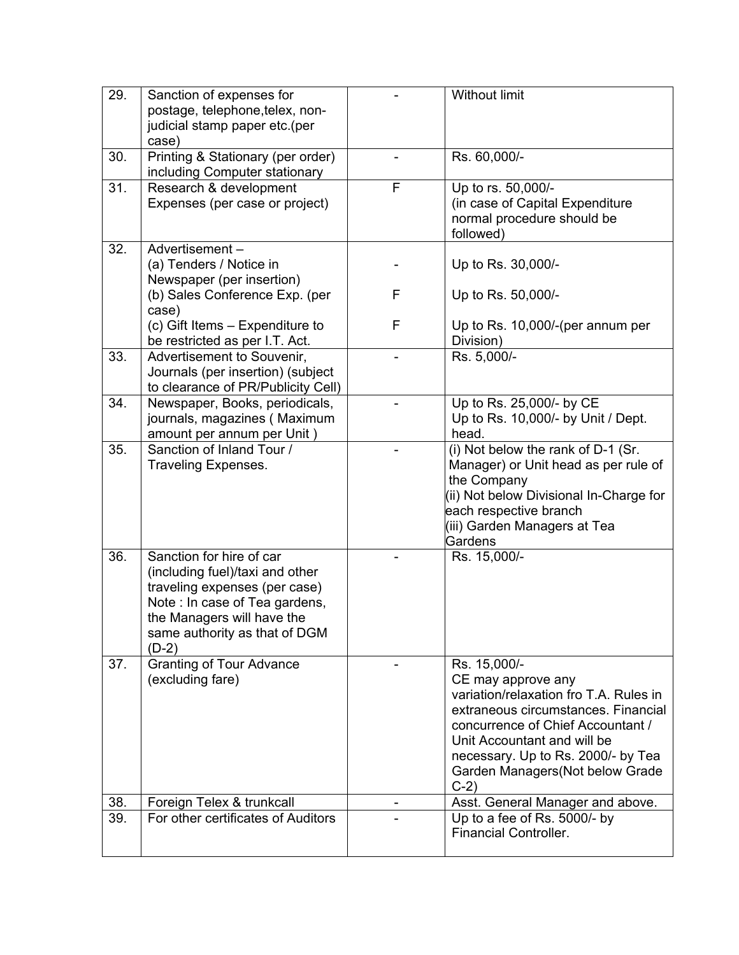| 29.        | Sanction of expenses for<br>postage, telephone, telex, non-        |   | <b>Without limit</b>                                                                |
|------------|--------------------------------------------------------------------|---|-------------------------------------------------------------------------------------|
|            | judicial stamp paper etc.(per<br>case)                             |   |                                                                                     |
| 30.        | Printing & Stationary (per order)<br>including Computer stationary |   | Rs. 60,000/-                                                                        |
| 31.        | Research & development<br>Expenses (per case or project)           | F | Up to rs. 50,000/-<br>(in case of Capital Expenditure<br>normal procedure should be |
|            |                                                                    |   | followed)                                                                           |
| 32.        | Advertisement-<br>(a) Tenders / Notice in                          |   | Up to Rs. 30,000/-                                                                  |
|            | Newspaper (per insertion)<br>(b) Sales Conference Exp. (per        | F | Up to Rs. 50,000/-                                                                  |
|            | case)                                                              |   |                                                                                     |
|            | (c) Gift Items - Expenditure to<br>be restricted as per I.T. Act.  | F | Up to Rs. 10,000/-(per annum per<br>Division)                                       |
| 33.        | Advertisement to Souvenir,<br>Journals (per insertion) (subject    |   | Rs. 5,000/-                                                                         |
|            | to clearance of PR/Publicity Cell)                                 |   |                                                                                     |
| 34.        | Newspaper, Books, periodicals,<br>journals, magazines (Maximum     |   | Up to Rs. 25,000/- by CE<br>Up to Rs. 10,000/- by Unit / Dept.                      |
|            | amount per annum per Unit)                                         |   | head.                                                                               |
| 35.        | Sanction of Inland Tour /<br><b>Traveling Expenses.</b>            |   | (i) Not below the rank of D-1 (Sr.<br>Manager) or Unit head as per rule of          |
|            |                                                                    |   | the Company                                                                         |
|            |                                                                    |   | (ii) Not below Divisional In-Charge for<br>each respective branch                   |
|            |                                                                    |   | (iii) Garden Managers at Tea                                                        |
| 36.        | Sanction for hire of car                                           |   | Gardens<br>Rs. 15,000/-                                                             |
|            | (including fuel)/taxi and other                                    |   |                                                                                     |
|            | traveling expenses (per case)<br>Note : In case of Tea gardens,    |   |                                                                                     |
|            | the Managers will have the<br>same authority as that of DGM        |   |                                                                                     |
|            | $(D-2)$                                                            |   |                                                                                     |
| 37.        | <b>Granting of Tour Advance</b><br>(excluding fare)                |   | Rs. 15,000/-<br>CE may approve any                                                  |
|            |                                                                    |   | variation/relaxation fro T.A. Rules in                                              |
|            |                                                                    |   | extraneous circumstances. Financial<br>concurrence of Chief Accountant /            |
|            |                                                                    |   | Unit Accountant and will be                                                         |
|            |                                                                    |   | necessary. Up to Rs. 2000/- by Tea<br>Garden Managers (Not below Grade              |
|            |                                                                    |   | $C-2)$                                                                              |
| 38.<br>39. | Foreign Telex & trunkcall<br>For other certificates of Auditors    | ۳ | Asst. General Manager and above.<br>Up to a fee of Rs. 5000/- by                    |
|            |                                                                    |   | <b>Financial Controller.</b>                                                        |
|            |                                                                    |   |                                                                                     |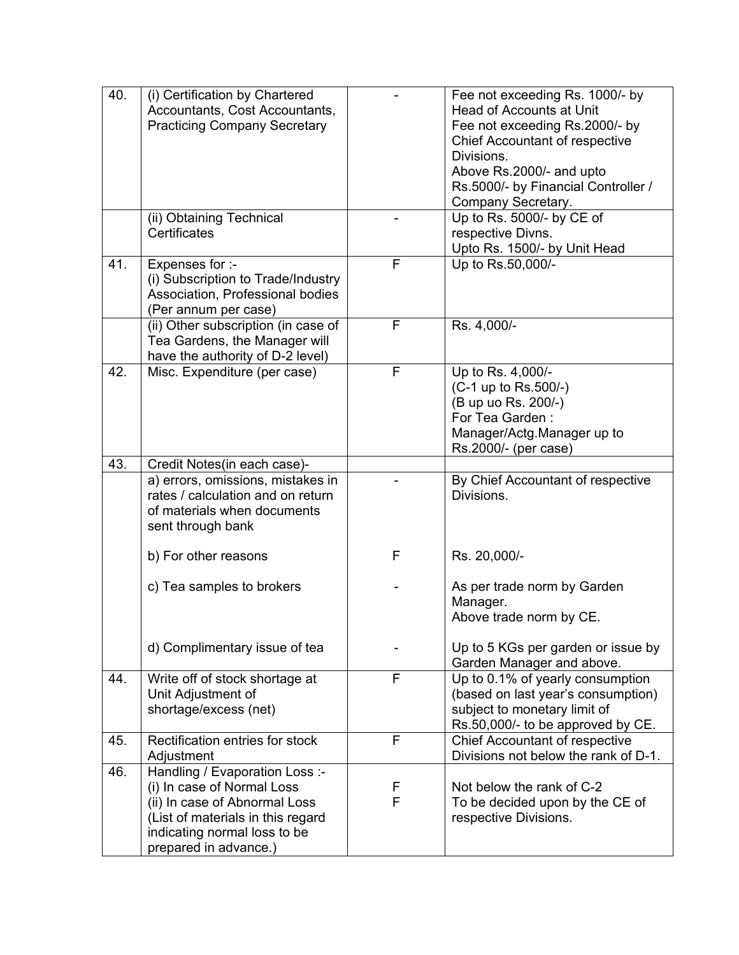| 40. | (i) Certification by Chartered                                         |              | Fee not exceeding Rs. 1000/- by                 |
|-----|------------------------------------------------------------------------|--------------|-------------------------------------------------|
|     | Accountants, Cost Accountants,                                         |              | <b>Head of Accounts at Unit</b>                 |
|     | <b>Practicing Company Secretary</b>                                    |              | Fee not exceeding Rs.2000/- by                  |
|     |                                                                        |              | Chief Accountant of respective                  |
|     |                                                                        |              | Divisions.                                      |
|     |                                                                        |              | Above Rs.2000/- and upto                        |
|     |                                                                        |              | Rs.5000/- by Financial Controller /             |
|     |                                                                        |              | Company Secretary.                              |
|     | (ii) Obtaining Technical                                               |              | Up to Rs. 5000/- by CE of                       |
|     | Certificates                                                           |              | respective Divns.                               |
|     |                                                                        |              | Upto Rs. 1500/- by Unit Head                    |
| 41. | Expenses for :-                                                        | F            | Up to Rs.50,000/-                               |
|     | (i) Subscription to Trade/Industry                                     |              |                                                 |
|     | Association, Professional bodies                                       |              |                                                 |
|     | (Per annum per case)                                                   |              |                                                 |
|     | (ii) Other subscription (in case of                                    | F            | Rs. 4,000/-                                     |
|     |                                                                        |              |                                                 |
|     | Tea Gardens, the Manager will                                          |              |                                                 |
| 42. | have the authority of D-2 level)<br>Misc. Expenditure (per case)       | $\mathsf{F}$ | Up to Rs. 4,000/-                               |
|     |                                                                        |              | (C-1 up to Rs.500/-)                            |
|     |                                                                        |              | (B up uo Rs. 200/-)                             |
|     |                                                                        |              | For Tea Garden:                                 |
|     |                                                                        |              |                                                 |
|     |                                                                        |              | Manager/Actg.Manager up to                      |
|     |                                                                        |              | Rs.2000/- (per case)                            |
| 43. | Credit Notes(in each case)-                                            |              |                                                 |
|     | a) errors, omissions, mistakes in<br>rates / calculation and on return |              | By Chief Accountant of respective<br>Divisions. |
|     |                                                                        |              |                                                 |
|     | of materials when documents                                            |              |                                                 |
|     | sent through bank                                                      |              |                                                 |
|     | b) For other reasons                                                   | F            | Rs. 20,000/-                                    |
|     |                                                                        |              |                                                 |
|     | c) Tea samples to brokers                                              |              | As per trade norm by Garden                     |
|     |                                                                        |              | Manager.                                        |
|     |                                                                        |              | Above trade norm by CE.                         |
|     |                                                                        |              |                                                 |
|     | d) Complimentary issue of tea                                          |              | Up to 5 KGs per garden or issue by              |
|     |                                                                        |              | Garden Manager and above.                       |
| 44. | Write off of stock shortage at                                         | F            | Up to 0.1% of yearly consumption                |
|     | Unit Adjustment of                                                     |              | (based on last year's consumption)              |
|     | shortage/excess (net)                                                  |              | subject to monetary limit of                    |
|     |                                                                        |              | Rs.50,000/- to be approved by CE.               |
| 45. | Rectification entries for stock                                        | F            | <b>Chief Accountant of respective</b>           |
|     | Adjustment                                                             |              | Divisions not below the rank of D-1.            |
| 46. | Handling / Evaporation Loss :-                                         |              |                                                 |
|     | (i) In case of Normal Loss                                             | F            | Not below the rank of C-2                       |
|     | (ii) In case of Abnormal Loss                                          | F            | To be decided upon by the CE of                 |
|     | (List of materials in this regard                                      |              | respective Divisions.                           |
|     | indicating normal loss to be                                           |              |                                                 |
|     | prepared in advance.)                                                  |              |                                                 |
|     |                                                                        |              |                                                 |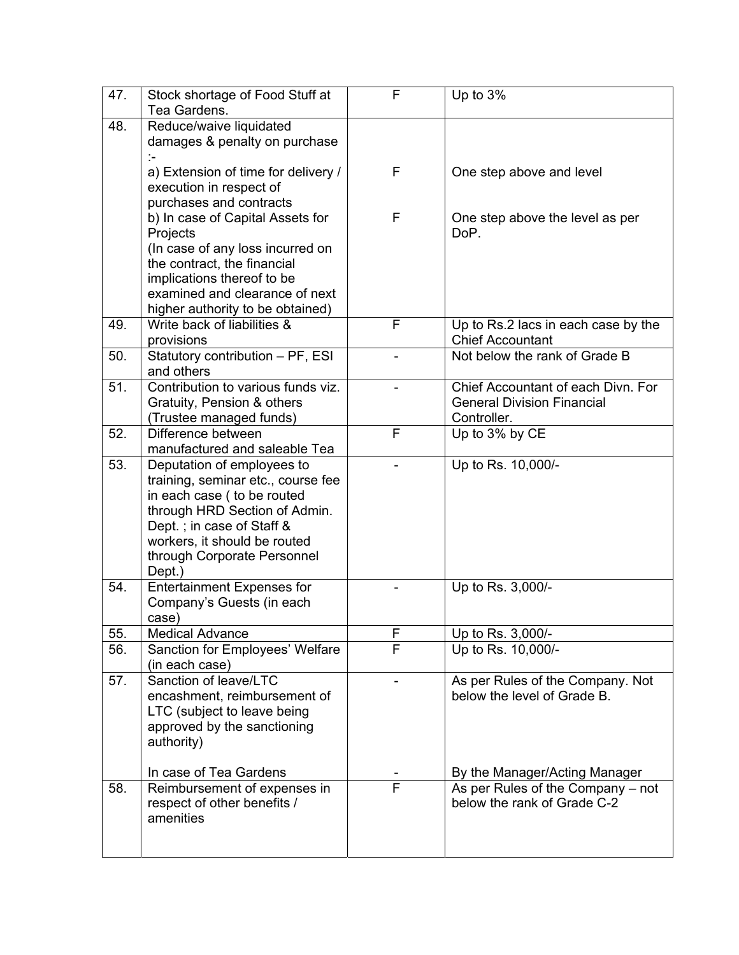| 47. | Stock shortage of Food Stuff at<br>Tea Gardens.                                                                                                                                                                                        | F | Up to 3%                                                                               |
|-----|----------------------------------------------------------------------------------------------------------------------------------------------------------------------------------------------------------------------------------------|---|----------------------------------------------------------------------------------------|
| 48. | Reduce/waive liquidated<br>damages & penalty on purchase                                                                                                                                                                               |   |                                                                                        |
|     | a) Extension of time for delivery /<br>execution in respect of<br>purchases and contracts                                                                                                                                              | F | One step above and level                                                               |
|     | b) In case of Capital Assets for<br>Projects<br>(In case of any loss incurred on<br>the contract, the financial<br>implications thereof to be<br>examined and clearance of next<br>higher authority to be obtained)                    | F | One step above the level as per<br>DoP.                                                |
| 49. | Write back of liabilities &<br>provisions                                                                                                                                                                                              | F | Up to Rs.2 lacs in each case by the<br><b>Chief Accountant</b>                         |
| 50. | Statutory contribution - PF, ESI<br>and others                                                                                                                                                                                         |   | Not below the rank of Grade B                                                          |
| 51. | Contribution to various funds viz.<br>Gratuity, Pension & others<br>(Trustee managed funds)                                                                                                                                            |   | Chief Accountant of each Divn. For<br><b>General Division Financial</b><br>Controller. |
| 52. | Difference between<br>manufactured and saleable Tea                                                                                                                                                                                    | F | Up to 3% by CE                                                                         |
| 53. | Deputation of employees to<br>training, seminar etc., course fee<br>in each case ( to be routed<br>through HRD Section of Admin.<br>Dept.; in case of Staff &<br>workers, it should be routed<br>through Corporate Personnel<br>Dept.) |   | Up to Rs. 10,000/-                                                                     |
| 54. | <b>Entertainment Expenses for</b><br>Company's Guests (in each<br>case)                                                                                                                                                                |   | Up to Rs. 3,000/-                                                                      |
| 55. | <b>Medical Advance</b>                                                                                                                                                                                                                 | F | Up to Rs. 3,000/-                                                                      |
| 56. | Sanction for Employees' Welfare<br>(in each case)                                                                                                                                                                                      | F | Up to Rs. 10,000/-                                                                     |
| 57. | Sanction of leave/LTC<br>encashment, reimbursement of<br>LTC (subject to leave being<br>approved by the sanctioning<br>authority)                                                                                                      |   | As per Rules of the Company. Not<br>below the level of Grade B.                        |
|     | In case of Tea Gardens                                                                                                                                                                                                                 |   | By the Manager/Acting Manager                                                          |
| 58. | Reimbursement of expenses in<br>respect of other benefits /<br>amenities                                                                                                                                                               | F | As per Rules of the Company - not<br>below the rank of Grade C-2                       |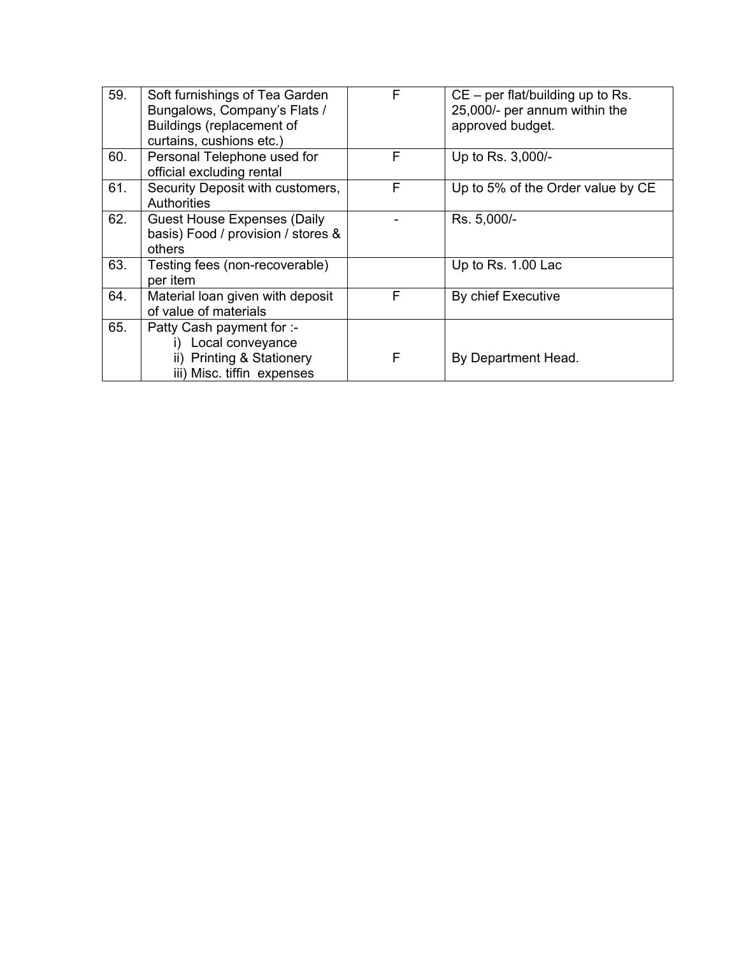| 59. | Soft furnishings of Tea Garden<br>Bungalows, Company's Flats /<br>Buildings (replacement of<br>curtains, cushions etc.)   | F | $CE$ – per flat/building up to Rs.<br>25,000/- per annum within the<br>approved budget. |
|-----|---------------------------------------------------------------------------------------------------------------------------|---|-----------------------------------------------------------------------------------------|
| 60. | Personal Telephone used for<br>official excluding rental                                                                  | F | Up to Rs. 3,000/-                                                                       |
| 61. | Security Deposit with customers,<br><b>Authorities</b>                                                                    | F | Up to 5% of the Order value by CE                                                       |
| 62. | <b>Guest House Expenses (Daily</b><br>basis) Food / provision / stores &<br>others                                        |   | Rs. 5,000/-                                                                             |
| 63. | Testing fees (non-recoverable)<br>per item                                                                                |   | Up to Rs. 1.00 Lac                                                                      |
| 64. | Material loan given with deposit<br>of value of materials                                                                 | F | By chief Executive                                                                      |
| 65. | Patty Cash payment for :-<br>i) Local conveyance<br><b>Printing &amp; Stationery</b><br>ii)<br>iii) Misc. tiffin expenses | F | By Department Head.                                                                     |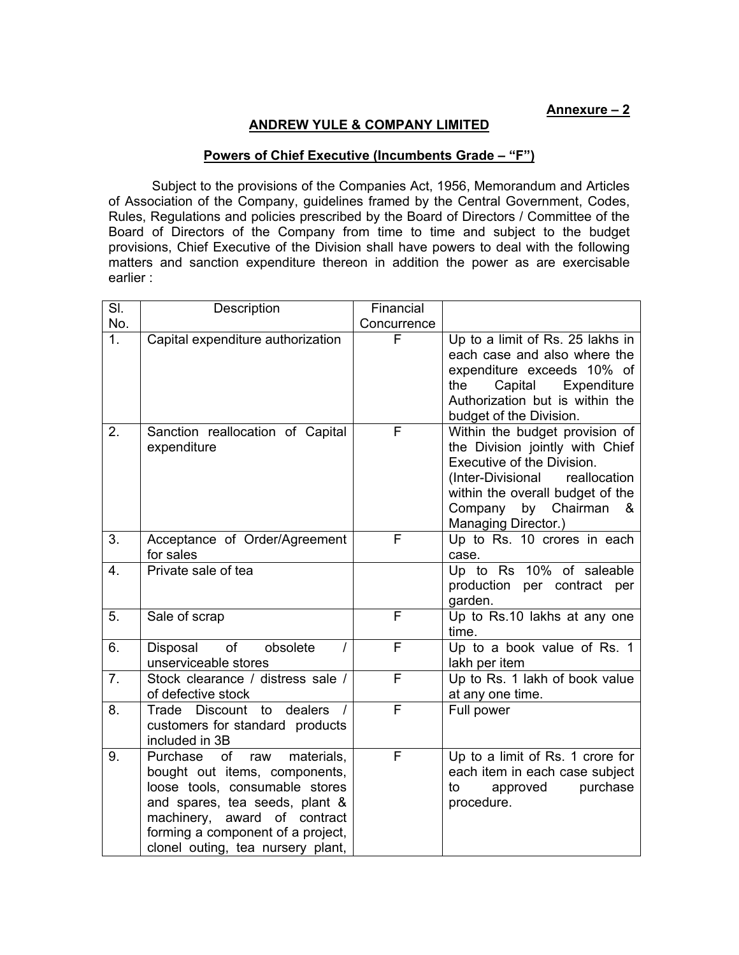### **ANDREW YULE & COMPANY LIMITED**

#### **Powers of Chief Executive (Incumbents Grade – "F")**

Subject to the provisions of the Companies Act, 1956, Memorandum and Articles of Association of the Company, guidelines framed by the Central Government, Codes, Rules, Regulations and policies prescribed by the Board of Directors / Committee of the Board of Directors of the Company from time to time and subject to the budget provisions, Chief Executive of the Division shall have powers to deal with the following matters and sanction expenditure thereon in addition the power as are exercisable earlier :

| SI.              | Description                                                                                                                                                                                                                                        | Financial   |                                                                                                                                                                                                                             |
|------------------|----------------------------------------------------------------------------------------------------------------------------------------------------------------------------------------------------------------------------------------------------|-------------|-----------------------------------------------------------------------------------------------------------------------------------------------------------------------------------------------------------------------------|
| No.              |                                                                                                                                                                                                                                                    | Concurrence |                                                                                                                                                                                                                             |
| $\overline{1}$ . | Capital expenditure authorization                                                                                                                                                                                                                  | F           | Up to a limit of Rs. 25 lakhs in<br>each case and also where the<br>expenditure exceeds 10% of<br>the<br>Capital<br>Expenditure<br>Authorization but is within the<br>budget of the Division.                               |
| 2.               | Sanction reallocation of Capital<br>expenditure                                                                                                                                                                                                    | F           | Within the budget provision of<br>the Division jointly with Chief<br>Executive of the Division.<br>(Inter-Divisional<br>reallocation<br>within the overall budget of the<br>Company by Chairman<br>&<br>Managing Director.) |
| 3.               | Acceptance of Order/Agreement<br>for sales                                                                                                                                                                                                         | F           | Up to Rs. 10 crores in each<br>case.                                                                                                                                                                                        |
| 4.               | Private sale of tea                                                                                                                                                                                                                                |             | Up to Rs 10% of saleable<br>production per contract per<br>garden.                                                                                                                                                          |
| 5.               | Sale of scrap                                                                                                                                                                                                                                      | F           | Up to Rs.10 lakhs at any one<br>time.                                                                                                                                                                                       |
| 6.               | obsolete<br>Disposal<br>of<br>$\prime$<br>unserviceable stores                                                                                                                                                                                     | F           | Up to a book value of Rs. 1<br>lakh per item                                                                                                                                                                                |
| 7 <sub>1</sub>   | Stock clearance / distress sale /<br>of defective stock                                                                                                                                                                                            | F           | Up to Rs. 1 lakh of book value<br>at any one time.                                                                                                                                                                          |
| 8.               | Trade Discount to<br>dealers<br>customers for standard products<br>included in 3B                                                                                                                                                                  | F           | Full power                                                                                                                                                                                                                  |
| 9.               | Purchase<br>materials,<br>of<br>raw<br>bought out items, components,<br>loose tools, consumable stores<br>and spares, tea seeds, plant &<br>machinery, award of contract<br>forming a component of a project,<br>clonel outing, tea nursery plant, | F           | Up to a limit of Rs. 1 crore for<br>each item in each case subject<br>approved<br>purchase<br>to<br>procedure.                                                                                                              |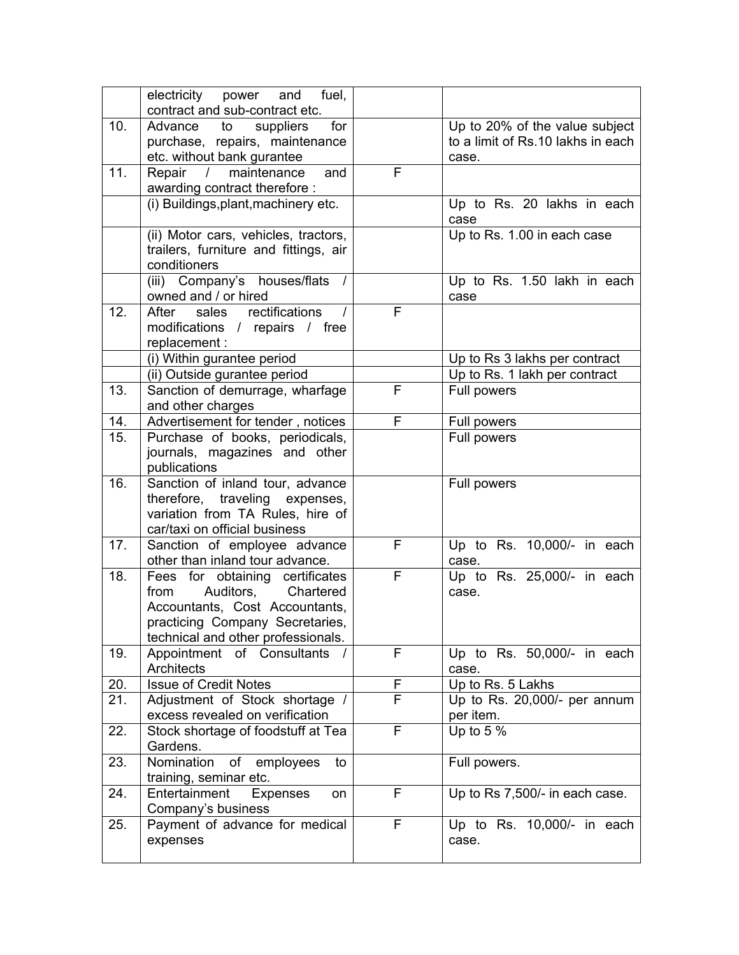|     | electricity power and<br>fuel,                                        |   |                                   |
|-----|-----------------------------------------------------------------------|---|-----------------------------------|
|     | contract and sub-contract etc.                                        |   |                                   |
| 10. | for<br>Advance<br>suppliers<br>to                                     |   | Up to 20% of the value subject    |
|     | purchase, repairs, maintenance                                        |   | to a limit of Rs.10 lakhs in each |
|     | etc. without bank gurantee                                            |   | case.                             |
| 11. | and<br>Repair /<br>maintenance                                        | F |                                   |
|     | awarding contract therefore :                                         |   |                                   |
|     | (i) Buildings, plant, machinery etc.                                  |   | Up to Rs. 20 lakhs in each        |
|     |                                                                       |   | case                              |
|     | (ii) Motor cars, vehicles, tractors,                                  |   | Up to Rs. 1.00 in each case       |
|     | trailers, furniture and fittings, air                                 |   |                                   |
|     | conditioners                                                          |   |                                   |
|     | (iii) Company's houses/flats                                          |   | Up to Rs. 1.50 lakh in each       |
|     | owned and / or hired                                                  |   | case                              |
| 12. | rectifications<br>After<br>sales                                      | F |                                   |
|     | modifications / repairs / free<br>replacement :                       |   |                                   |
|     | (i) Within gurantee period                                            |   | Up to Rs 3 lakhs per contract     |
|     | (ii) Outside gurantee period                                          |   | Up to Rs. 1 lakh per contract     |
| 13. | Sanction of demurrage, wharfage                                       | F | Full powers                       |
|     | and other charges                                                     |   |                                   |
| 14. | Advertisement for tender, notices                                     | F | Full powers                       |
| 15. | Purchase of books, periodicals,                                       |   | Full powers                       |
|     | journals, magazines and other                                         |   |                                   |
|     | publications                                                          |   |                                   |
| 16. | Sanction of inland tour, advance                                      |   | Full powers                       |
|     | therefore, traveling expenses,                                        |   |                                   |
|     | variation from TA Rules, hire of                                      |   |                                   |
|     | car/taxi on official business                                         |   |                                   |
| 17. | Sanction of employee advance                                          | F | Up to Rs. 10,000/- in each        |
|     | other than inland tour advance.                                       |   | case.                             |
| 18. | Fees for obtaining certificates                                       | F | Up to Rs. 25,000/- in each        |
|     | Auditors,<br>Chartered<br>from                                        |   | case.                             |
|     | Accountants, Cost Accountants,                                        |   |                                   |
|     | practicing Company Secretaries,<br>technical and other professionals. |   |                                   |
| 19. | Appointment of Consultants                                            | F | Up to Rs. 50,000/- in each        |
|     | Architects                                                            |   | case.                             |
| 20. | <b>Issue of Credit Notes</b>                                          | F | Up to Rs. 5 Lakhs                 |
| 21. | Adjustment of Stock shortage /                                        | F | Up to Rs. 20,000/- per annum      |
|     | excess revealed on verification                                       |   | per item.                         |
| 22. | Stock shortage of foodstuff at Tea                                    | F | Up to $5%$                        |
|     | Gardens.                                                              |   |                                   |
| 23. | Nomination<br>of<br>employees<br>to                                   |   | Full powers.                      |
|     | training, seminar etc.                                                |   |                                   |
| 24. | Entertainment<br><b>Expenses</b><br><b>on</b>                         | F | Up to Rs 7,500/- in each case.    |
|     | Company's business                                                    |   |                                   |
| 25. | Payment of advance for medical                                        | F | Up to Rs. 10,000/- in each        |
|     | expenses                                                              |   | case.                             |
|     |                                                                       |   |                                   |